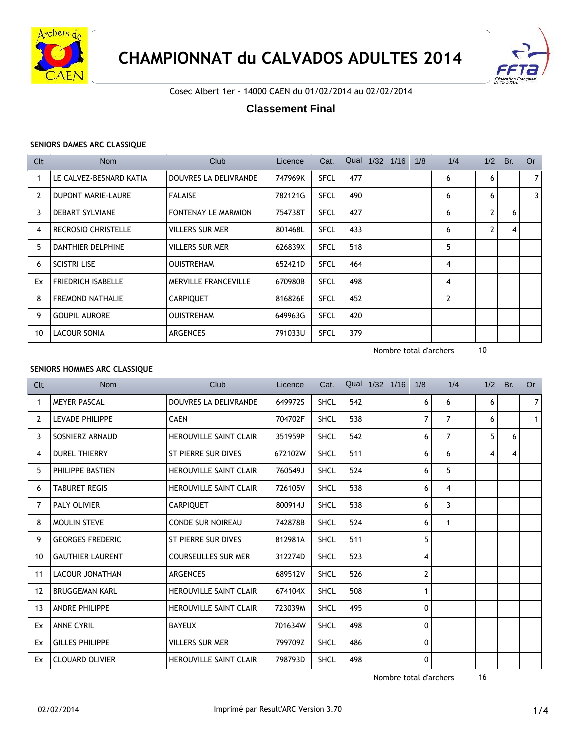

# **CHAMPIONNAT du CALVADOS ADULTES 2014**



Cosec Albert 1er - 14000 CAEN du 01/02/2014 au 02/02/2014

# **Classement Final**

# **SENIORS DAMES ARC CLASSIQUE**

| Clt | Nom                        | Club                        | Licence | Cat.        | Qual | 1/32 | 1/16 | 1/8 | 1/4           | 1/2            | Br. | <b>Or</b>      |
|-----|----------------------------|-----------------------------|---------|-------------|------|------|------|-----|---------------|----------------|-----|----------------|
|     | LE CALVEZ-BESNARD KATIA    | DOUVRES LA DELIVRANDE       | 747969K | <b>SFCL</b> | 477  |      |      |     | 6             | 6              |     | 7 <sup>1</sup> |
| 2   | <b>DUPONT MARIE-LAURE</b>  | <b>FALAISE</b>              | 782121G | <b>SFCL</b> | 490  |      |      |     | 6             | 6              |     | 3              |
| 3   | <b>DEBART SYLVIANE</b>     | <b>FONTENAY LE MARMION</b>  | 754738T | <b>SFCL</b> | 427  |      |      |     | 6             | $\overline{2}$ | 6   |                |
| 4   | <b>RECROSIO CHRISTELLE</b> | <b>VILLERS SUR MER</b>      | 801468L | <b>SFCL</b> | 433  |      |      |     | 6             | $\overline{2}$ | 4   |                |
| 5   | DANTHIER DELPHINE          | VILLERS SUR MER             | 626839X | <b>SFCL</b> | 518  |      |      |     | 5             |                |     |                |
| 6   | <b>SCISTRI LISE</b>        | <b>OUISTREHAM</b>           | 652421D | <b>SFCL</b> | 464  |      |      |     | 4             |                |     |                |
| Ex  | <b>FRIEDRICH ISABELLE</b>  | <b>MERVILLE FRANCEVILLE</b> | 670980B | <b>SFCL</b> | 498  |      |      |     | 4             |                |     |                |
| 8   | <b>FREMOND NATHALIE</b>    | <b>CARPIQUET</b>            | 816826E | <b>SFCL</b> | 452  |      |      |     | $\mathcal{P}$ |                |     |                |
| 9   | <b>GOUPIL AURORE</b>       | <b>OUISTREHAM</b>           | 649963G | <b>SFCL</b> | 420  |      |      |     |               |                |     |                |
| 10  | LACOUR SONIA               | <b>ARGENCES</b>             | 791033U | <b>SFCL</b> | 379  |      |      |     |               |                |     |                |

Nombre total d'archers 10

# **SENIORS HOMMES ARC CLASSIQUE**

| Clt | <b>Nom</b>              | Club                          | Licence | Cat.        |     | Qual 1/32 1/16 | 1/8            | 1/4            | 1/2 | Br. | <b>Or</b>      |
|-----|-------------------------|-------------------------------|---------|-------------|-----|----------------|----------------|----------------|-----|-----|----------------|
| 1   | <b>MEYER PASCAL</b>     | DOUVRES LA DELIVRANDE         | 649972S | <b>SHCL</b> | 542 |                | 6              | 6              | 6   |     | $\overline{7}$ |
| 2   | LEVADE PHILIPPE         | <b>CAEN</b>                   | 704702F | <b>SHCL</b> | 538 |                | 7              | $\overline{7}$ | 6   |     | $\mathbf{1}$   |
| 3   | SOSNIERZ ARNAUD         | <b>HEROUVILLE SAINT CLAIR</b> | 351959P | <b>SHCL</b> | 542 |                | 6              | $\overline{7}$ | 5   | 6   |                |
| 4   | <b>DUREL THIERRY</b>    | ST PIERRE SUR DIVES           | 672102W | <b>SHCL</b> | 511 |                | 6              | 6              | 4   | 4   |                |
| 5   | PHILIPPE BASTIEN        | <b>HEROUVILLE SAINT CLAIR</b> | 760549J | <b>SHCL</b> | 524 |                | 6              | 5              |     |     |                |
| 6   | <b>TABURET REGIS</b>    | <b>HEROUVILLE SAINT CLAIR</b> | 726105V | <b>SHCL</b> | 538 |                | 6              | 4              |     |     |                |
| 7   | PALY OLIVIER            | <b>CARPIQUET</b>              | 800914J | <b>SHCL</b> | 538 |                | 6              | 3              |     |     |                |
| 8   | <b>MOULIN STEVE</b>     | <b>CONDE SUR NOIREAU</b>      | 742878B | <b>SHCL</b> | 524 |                | 6              | $\mathbf{1}$   |     |     |                |
| 9   | <b>GEORGES FREDERIC</b> | ST PIERRE SUR DIVES           | 812981A | <b>SHCL</b> | 511 |                | 5              |                |     |     |                |
| 10  | <b>GAUTHIER LAURENT</b> | <b>COURSEULLES SUR MER</b>    | 312274D | <b>SHCL</b> | 523 |                | 4              |                |     |     |                |
| 11  | LACOUR JONATHAN         | <b>ARGENCES</b>               | 689512V | <b>SHCL</b> | 526 |                | $\overline{2}$ |                |     |     |                |
| 12  | <b>BRUGGEMAN KARL</b>   | HEROUVILLE SAINT CLAIR        | 674104X | <b>SHCL</b> | 508 |                | 1              |                |     |     |                |
| 13  | <b>ANDRE PHILIPPE</b>   | <b>HEROUVILLE SAINT CLAIR</b> | 723039M | <b>SHCL</b> | 495 |                | 0              |                |     |     |                |
| Ex  | <b>ANNE CYRIL</b>       | <b>BAYEUX</b>                 | 701634W | <b>SHCL</b> | 498 |                | 0              |                |     |     |                |
| Ex  | <b>GILLES PHILIPPE</b>  | <b>VILLERS SUR MER</b>        | 799709Z | <b>SHCL</b> | 486 |                | 0              |                |     |     |                |
| Ex  | <b>CLOUARD OLIVIER</b>  | <b>HEROUVILLE SAINT CLAIR</b> | 798793D | <b>SHCL</b> | 498 |                | $\mathbf{0}$   |                |     |     |                |

Nombre total d'archers 16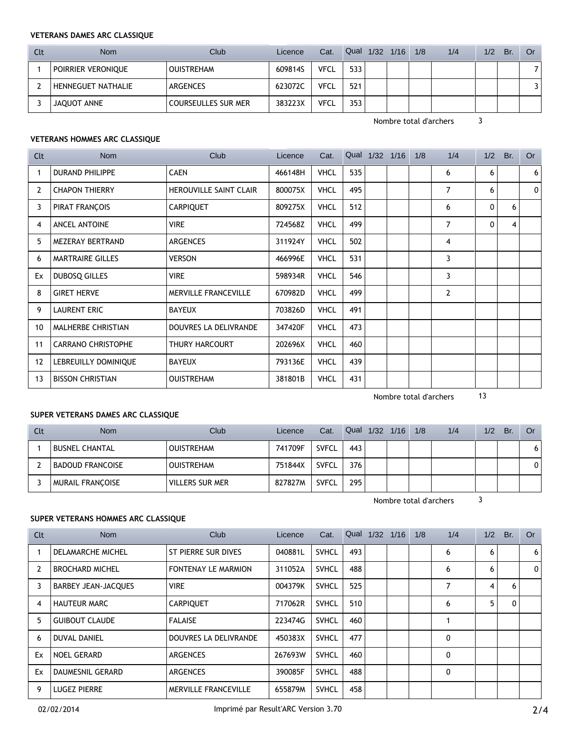# **VETERANS DAMES ARC CLASSIQUE**

| Clt | <b>Nom</b>                | Club                | Licence | Cat.        | Qual | 1/32 1/16 | 1/8 | 1/4 | 1/2 | Br. | Or |
|-----|---------------------------|---------------------|---------|-------------|------|-----------|-----|-----|-----|-----|----|
|     | Poirrier veronique        | <b>OUISTREHAM</b>   | 609814S | <b>VFCL</b> | 533  |           |     |     |     |     |    |
|     | <b>HENNEGUET NATHALIE</b> | ARGENCES            | 623072C | <b>VFCL</b> | 521  |           |     |     |     |     |    |
|     | JAQUOT ANNE               | COURSEULLES SUR MER | 383223X | <b>VFCL</b> | 353  |           |     |     |     |     |    |

Nombre total d'archers 3

# **VETERANS HOMMES ARC CLASSIQUE**

| Clt | Nom                       | Club                          | Licence | Cat.        |     | Qual 1/32 1/16 | 1/8 | 1/4 | 1/2         | Br. | <b>Or</b> |
|-----|---------------------------|-------------------------------|---------|-------------|-----|----------------|-----|-----|-------------|-----|-----------|
|     | <b>DURAND PHILIPPE</b>    | <b>CAEN</b>                   | 466148H | <b>VHCL</b> | 535 |                |     | 6   | 6           |     | 6         |
| 2   | <b>CHAPON THIERRY</b>     | <b>HEROUVILLE SAINT CLAIR</b> | 800075X | <b>VHCL</b> | 495 |                |     | 7   | 6           |     | $\Omega$  |
| 3   | PIRAT FRANÇOIS            | <b>CARPIQUET</b>              | 809275X | <b>VHCL</b> | 512 |                |     | 6   | 0           | 6   |           |
| 4   | ANCEL ANTOINE             | <b>VIRE</b>                   | 724568Z | <b>VHCL</b> | 499 |                |     | 7   | $\mathbf 0$ | 4   |           |
| 5   | MEZERAY BERTRAND          | <b>ARGENCES</b>               | 311924Y | <b>VHCL</b> | 502 |                |     | 4   |             |     |           |
| 6   | <b>MARTRAIRE GILLES</b>   | <b>VERSON</b>                 | 466996E | <b>VHCL</b> | 531 |                |     | 3   |             |     |           |
| Ex  | DUBOSQ GILLES             | <b>VIRE</b>                   | 598934R | <b>VHCL</b> | 546 |                |     | 3   |             |     |           |
| 8   | <b>GIRET HERVE</b>        | MERVILLE FRANCEVILLE          | 670982D | <b>VHCL</b> | 499 |                |     | 2   |             |     |           |
| 9   | <b>LAURENT ERIC</b>       | <b>BAYEUX</b>                 | 703826D | <b>VHCL</b> | 491 |                |     |     |             |     |           |
| 10  | <b>MALHERBE CHRISTIAN</b> | DOUVRES LA DELIVRANDE         | 347420F | <b>VHCL</b> | 473 |                |     |     |             |     |           |
| 11  | <b>CARRANO CHRISTOPHE</b> | THURY HARCOURT                | 202696X | <b>VHCL</b> | 460 |                |     |     |             |     |           |
| 12  | LEBREUILLY DOMINIQUE      | <b>BAYEUX</b>                 | 793136E | <b>VHCL</b> | 439 |                |     |     |             |     |           |
| 13  | <b>BISSON CHRISTIAN</b>   | <b>OUISTREHAM</b>             | 381801B | <b>VHCL</b> | 431 |                |     |     |             |     |           |

Nombre total d'archers 13

# **SUPER VETERANS DAMES ARC CLASSIQUE**

| Clt | <b>Nom</b>              | Club <sup>-</sup> | Licence | Cat.         | Qual | $1/32$ $1/16$ | 1/8 | 1/4 | 1/2 | Br. | Or |
|-----|-------------------------|-------------------|---------|--------------|------|---------------|-----|-----|-----|-----|----|
|     | <b>BUSNEL CHANTAL</b>   | <b>OUISTREHAM</b> | 741709F | <b>SVFCL</b> | 443  |               |     |     |     |     | o  |
|     | <b>BADOUD FRANCOISE</b> | <b>OUISTREHAM</b> | 751844X | <b>SVFCL</b> | 376  |               |     |     |     |     |    |
|     | <b>MURAIL FRANCOISE</b> | VILLERS SUR MER   | 827827M | <b>SVFCL</b> | 295  |               |     |     |     |     |    |

Nombre total d'archers 3

# **SUPER VETERANS HOMMES ARC CLASSIQUE**

| <b>Clt</b>     | <b>Nom</b>                 | Club                       | Licence | Cat.         |     | Qual 1/32 1/16 1/8 |  | 1/4 | 1/2            | Br. | <b>Or</b>    |
|----------------|----------------------------|----------------------------|---------|--------------|-----|--------------------|--|-----|----------------|-----|--------------|
|                | DELAMARCHE MICHEL          | ST PIERRE SUR DIVES        | 040881L | <b>SVHCL</b> | 493 |                    |  | 6   | 6              |     | 6            |
| $\overline{2}$ | <b>BROCHARD MICHEL</b>     | <b>FONTENAY LE MARMION</b> | 311052A | <b>SVHCL</b> | 488 |                    |  | 6   | 6              |     | $\mathbf{0}$ |
| 3              | <b>BARBEY JEAN-JACQUES</b> | <b>VIRE</b>                | 004379K | <b>SVHCL</b> | 525 |                    |  |     | $\overline{4}$ | 6   |              |
| $\overline{4}$ | <b>HAUTEUR MARC</b>        | <b>CARPIQUET</b>           | 717062R | <b>SVHCL</b> | 510 |                    |  | 6   | 5              | 0   |              |
| 5              | <b>GUIBOUT CLAUDE</b>      | <b>FALAISE</b>             | 223474G | <b>SVHCL</b> | 460 |                    |  |     |                |     |              |
| 6              | <b>DUVAL DANIEL</b>        | DOUVRES LA DELIVRANDE      | 450383X | <b>SVHCL</b> | 477 |                    |  | 0   |                |     |              |
| Ex             | <b>NOEL GERARD</b>         | <b>ARGENCES</b>            | 267693W | <b>SVHCL</b> | 460 |                    |  | 0   |                |     |              |
| Ex             | <b>DAUMESNIL GERARD</b>    | <b>ARGENCES</b>            | 390085F | <b>SVHCL</b> | 488 |                    |  | 0   |                |     |              |
| 9              | <b>LUGEZ PIERRE</b>        | MERVILLE FRANCEVILLE       | 655879M | <b>SVHCL</b> | 458 |                    |  |     |                |     |              |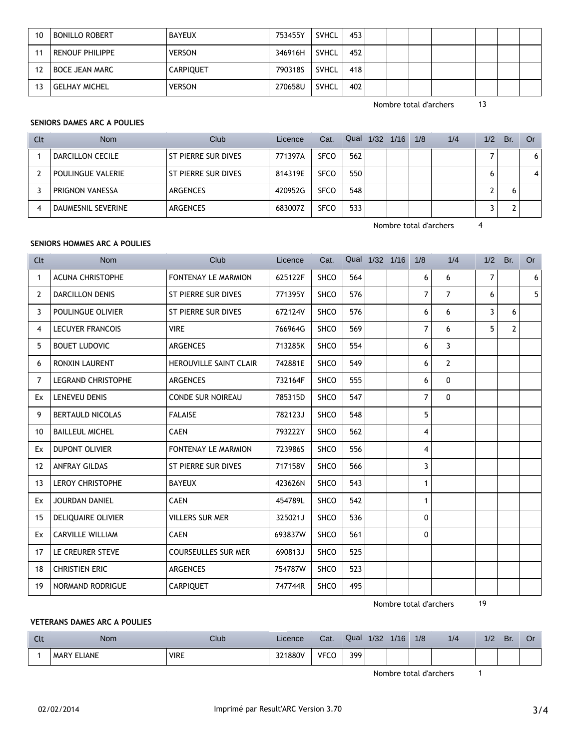| 10 | <b>BONILLO ROBERT</b>  | <b>BAYEUX</b>    | 753455Y | SVHCL        | 453 |  |  |  |  |
|----|------------------------|------------------|---------|--------------|-----|--|--|--|--|
|    | <b>RENOUF PHILIPPE</b> | <b>VERSON</b>    | 346916H | <b>SVHCL</b> | 452 |  |  |  |  |
|    | <b>BOCE JEAN MARC</b>  | <b>CARPIQUET</b> | 790318S | SVHCL        | 418 |  |  |  |  |
|    | <b>GELHAY MICHEL</b>   | <b>VERSON</b>    | 270658U | <b>SVHCL</b> | 402 |  |  |  |  |

Nombre total d'archers 13

# **SENIORS DAMES ARC A POULIES**

| Clt | <b>Nom</b>         | Club                | Licence | Cat.        | Qual | 1/32 | 1/16 | 1/8 | 1/4 | 1/2 | Br. | Or |
|-----|--------------------|---------------------|---------|-------------|------|------|------|-----|-----|-----|-----|----|
|     | DARCILLON CECILE   | ST PIERRE SUR DIVES | 771397A | <b>SFCO</b> | 562  |      |      |     |     |     |     | 6  |
|     | POULINGUE VALERIE  | ST PIERRE SUR DIVES | 814319E | <b>SFCO</b> | 550  |      |      |     |     | 6   |     |    |
|     | PRIGNON VANESSA    | ARGENCES            | 420952G | <b>SFCO</b> | 548  |      |      |     |     |     |     |    |
|     | DAUMESNIL SEVERINE | ARGENCES            | 683007Z | <b>SFCO</b> | 533  |      |      |     |     |     |     |    |

Nombre total d'archers 4

# **SENIORS HOMMES ARC A POULIES**

| Clt | <b>Nom</b>                | Club                          | Licence | Cat.        |     | Qual 1/32 1/16 | 1/8            | 1/4            | 1/2            | Br.            | <b>Or</b> |
|-----|---------------------------|-------------------------------|---------|-------------|-----|----------------|----------------|----------------|----------------|----------------|-----------|
| 1   | <b>ACUNA CHRISTOPHE</b>   | FONTENAY LE MARMION           | 625122F | <b>SHCO</b> | 564 |                | 6              | 6              | $\overline{7}$ |                | 6         |
| 2   | <b>DARCILLON DENIS</b>    | ST PIERRE SUR DIVES           | 771395Y | <b>SHCO</b> | 576 |                | $\overline{7}$ | $\overline{7}$ | 6              |                | 5         |
| 3   | POULINGUE OLIVIER         | ST PIERRE SUR DIVES           | 672124V | <b>SHCO</b> | 576 |                | 6              | 6              | 3              | 6              |           |
| 4   | <b>LECUYER FRANCOIS</b>   | <b>VIRE</b>                   | 766964G | <b>SHCO</b> | 569 |                | $\overline{7}$ | 6              | 5              | $\overline{2}$ |           |
| 5   | <b>BOUET LUDOVIC</b>      | <b>ARGENCES</b>               | 713285K | <b>SHCO</b> | 554 |                | 6              | 3              |                |                |           |
| 6   | <b>RONXIN LAURENT</b>     | <b>HEROUVILLE SAINT CLAIR</b> | 742881E | <b>SHCO</b> | 549 |                | 6              | $\overline{2}$ |                |                |           |
| 7   | <b>LEGRAND CHRISTOPHE</b> | <b>ARGENCES</b>               | 732164F | <b>SHCO</b> | 555 |                | 6              | 0              |                |                |           |
| Ex  | LENEVEU DENIS             | <b>CONDE SUR NOIREAU</b>      | 785315D | <b>SHCO</b> | 547 |                | $\overline{7}$ | 0              |                |                |           |
| 9   | <b>BERTAULD NICOLAS</b>   | <b>FALAISE</b>                | 782123J | SHCO        | 548 |                | 5              |                |                |                |           |
| 10  | <b>BAILLEUL MICHEL</b>    | <b>CAEN</b>                   | 793222Y | <b>SHCO</b> | 562 |                | $\overline{4}$ |                |                |                |           |
| Ex  | <b>DUPONT OLIVIER</b>     | FONTENAY LE MARMION           | 723986S | <b>SHCO</b> | 556 |                | 4              |                |                |                |           |
| 12  | <b>ANFRAY GILDAS</b>      | <b>ST PIERRE SUR DIVES</b>    | 717158V | <b>SHCO</b> | 566 |                | 3              |                |                |                |           |
| 13  | <b>LEROY CHRISTOPHE</b>   | <b>BAYEUX</b>                 | 423626N | <b>SHCO</b> | 543 |                | $\mathbf{1}$   |                |                |                |           |
| Ex  | JOURDAN DANIEL            | <b>CAEN</b>                   | 454789L | <b>SHCO</b> | 542 |                | $\mathbf{1}$   |                |                |                |           |
| 15  | DELIQUAIRE OLIVIER        | <b>VILLERS SUR MER</b>        | 325021J | <b>SHCO</b> | 536 |                | $\mathbf{0}$   |                |                |                |           |
| Ex  | <b>CARVILLE WILLIAM</b>   | <b>CAEN</b>                   | 693837W | SHCO        | 561 |                | $\Omega$       |                |                |                |           |
| 17  | LE CREURER STEVE          | <b>COURSEULLES SUR MER</b>    | 690813J | <b>SHCO</b> | 525 |                |                |                |                |                |           |
| 18  | <b>CHRISTIEN ERIC</b>     | <b>ARGENCES</b>               | 754787W | <b>SHCO</b> | 523 |                |                |                |                |                |           |
| 19  | <b>NORMAND RODRIGUE</b>   | <b>CARPIQUET</b>              | 747744R | <b>SHCO</b> | 495 |                |                |                |                |                |           |

Nombre total d'archers 19

#### **VETERANS DAMES ARC A POULIES**

| ิ | Nom                                                                     | Club        | Licence               | Cat.             | Qual       | 1/32 | 1/16 | 1/8 | 1/4 | 1/2 | Br. | Οı |
|---|-------------------------------------------------------------------------|-------------|-----------------------|------------------|------------|------|------|-----|-----|-----|-----|----|
|   | <b>LIANE</b><br><b>MARY</b><br>the contract of the contract of the con- | <b>VIRE</b> | 1880V<br>$\sim$<br>ےر | <b>VECC</b><br>ີ | 399<br>$-$ |      |      |     |     |     |     |    |

Nombre total d'archers 1